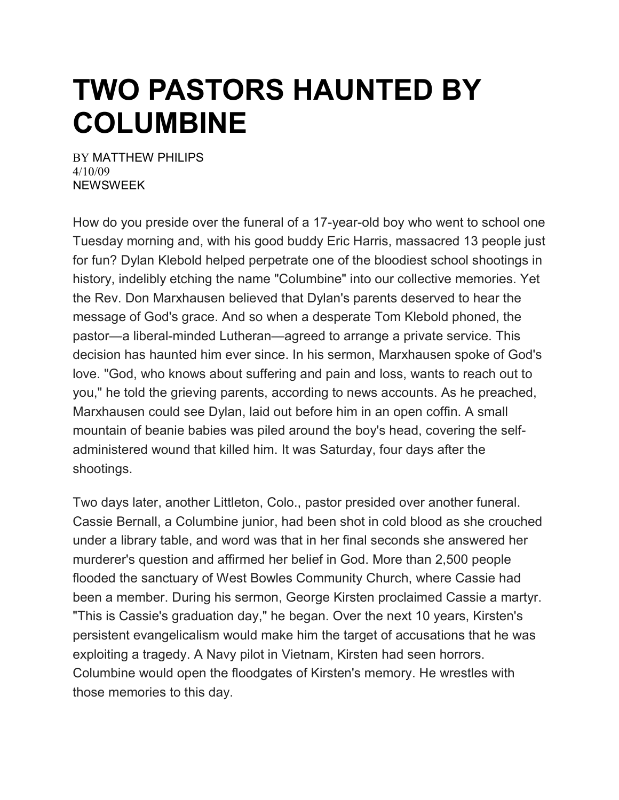## **TWO PASTORS HAUNTED BY COLUMBINE**

BY [MATTHEW](https://www.newsweek.com/authors/matthew-philips) PHILIPS 4/10/09 NEWSWEEK

How do you preside over the funeral of a 17-year-old boy who went to school one Tuesday morning and, with his good buddy Eric Harris, massacred 13 people just for fun? Dylan Klebold helped perpetrate one of the bloodiest school shootings in history, indelibly etching the name "Columbine" into our collective memories. Yet the Rev. Don Marxhausen believed that Dylan's parents deserved to hear the message of God's grace. And so when a desperate Tom Klebold phoned, the pastor—a liberal-minded Lutheran—agreed to arrange a private service. This decision has haunted him ever since. In his sermon, Marxhausen spoke of God's love. "God, who knows about suffering and pain and loss, wants to reach out to you," he told the grieving parents, according to news accounts. As he preached, Marxhausen could see Dylan, laid out before him in an open coffin. A small mountain of beanie babies was piled around the boy's head, covering the selfadministered wound that killed him. It was Saturday, four days after the shootings.

Two days later, another Littleton, Colo., pastor presided over another funeral. Cassie Bernall, a Columbine junior, had been shot in cold blood as she crouched under a library table, and word was that in her final seconds she answered her murderer's question and affirmed her belief in God. More than 2,500 people flooded the sanctuary of West Bowles Community Church, where Cassie had been a member. During his sermon, George Kirsten proclaimed Cassie a martyr. "This is Cassie's graduation day," he began. Over the next 10 years, Kirsten's persistent evangelicalism would make him the target of accusations that he was exploiting a tragedy. A Navy pilot in Vietnam, Kirsten had seen horrors. Columbine would open the floodgates of Kirsten's memory. He wrestles with those memories to this day.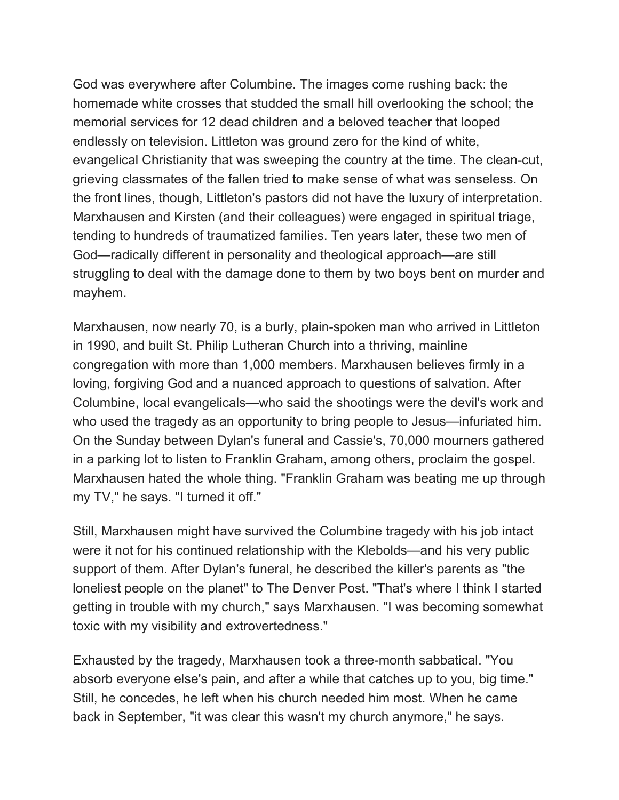God was everywhere after Columbine. The images come rushing back: the homemade white crosses that studded the small hill overlooking the school; the memorial services for 12 dead children and a beloved teacher that looped endlessly on television. Littleton was ground zero for the kind of white, evangelical Christianity that was sweeping the country at the time. The clean-cut, grieving classmates of the fallen tried to make sense of what was senseless. On the front lines, though, Littleton's pastors did not have the luxury of interpretation. Marxhausen and Kirsten (and their colleagues) were engaged in spiritual triage, tending to hundreds of traumatized families. Ten years later, these two men of God—radically different in personality and theological approach—are still struggling to deal with the damage done to them by two boys bent on murder and mayhem.

Marxhausen, now nearly 70, is a burly, plain-spoken man who arrived in Littleton in 1990, and built St. Philip Lutheran Church into a thriving, mainline congregation with more than 1,000 members. Marxhausen believes firmly in a loving, forgiving God and a nuanced approach to questions of salvation. After Columbine, local evangelicals—who said the shootings were the devil's work and who used the tragedy as an opportunity to bring people to Jesus—infuriated him. On the Sunday between Dylan's funeral and Cassie's, 70,000 mourners gathered in a parking lot to listen to Franklin Graham, among others, proclaim the gospel. Marxhausen hated the whole thing. "Franklin Graham was beating me up through my TV," he says. "I turned it off."

Still, Marxhausen might have survived the Columbine tragedy with his job intact were it not for his continued relationship with the Klebolds—and his very public support of them. After Dylan's funeral, he described the killer's parents as "the loneliest people on the planet" to The Denver Post. "That's where I think I started getting in trouble with my church," says Marxhausen. "I was becoming somewhat toxic with my visibility and extrovertedness."

Exhausted by the tragedy, Marxhausen took a three-month sabbatical. "You absorb everyone else's pain, and after a while that catches up to you, big time." Still, he concedes, he left when his church needed him most. When he came back in September, "it was clear this wasn't my church anymore," he says.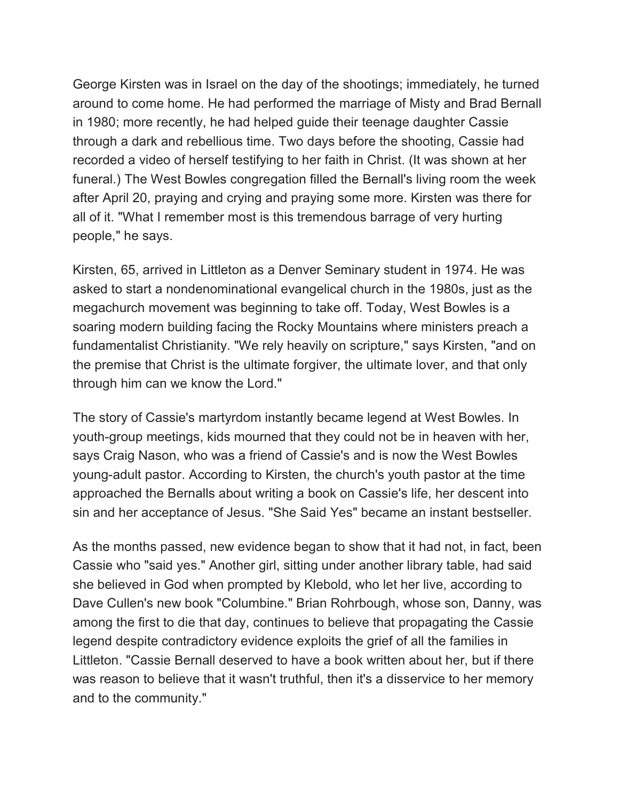George Kirsten was in Israel on the day of the shootings; immediately, he turned around to come home. He had performed the marriage of Misty and Brad Bernall in 1980; more recently, he had helped guide their teenage daughter Cassie through a dark and rebellious time. Two days before the shooting, Cassie had recorded a video of herself testifying to her faith in Christ. (It was shown at her funeral.) The West Bowles congregation filled the Bernall's living room the week after April 20, praying and crying and praying some more. Kirsten was there for all of it. "What I remember most is this tremendous barrage of very hurting people," he says.

Kirsten, 65, arrived in Littleton as a Denver Seminary student in 1974. He was asked to start a nondenominational evangelical church in the 1980s, just as the megachurch movement was beginning to take off. Today, West Bowles is a soaring modern building facing the Rocky Mountains where ministers preach a fundamentalist Christianity. "We rely heavily on scripture," says Kirsten, "and on the premise that Christ is the ultimate forgiver, the ultimate lover, and that only through him can we know the Lord."

The story of Cassie's martyrdom instantly became legend at West Bowles. In youth-group meetings, kids mourned that they could not be in heaven with her, says Craig Nason, who was a friend of Cassie's and is now the West Bowles young-adult pastor. According to Kirsten, the church's youth pastor at the time approached the Bernalls about writing a book on Cassie's life, her descent into sin and her acceptance of Jesus. "She Said Yes" became an instant bestseller.

As the months passed, new evidence began to show that it had not, in fact, been Cassie who "said yes." Another girl, sitting under another library table, had said she believed in God when prompted by Klebold, who let her live, according to Dave Cullen's new book "Columbine." Brian Rohrbough, whose son, Danny, was among the first to die that day, continues to believe that propagating the Cassie legend despite contradictory evidence exploits the grief of all the families in Littleton. "Cassie Bernall deserved to have a book written about her, but if there was reason to believe that it wasn't truthful, then it's a disservice to her memory and to the community."